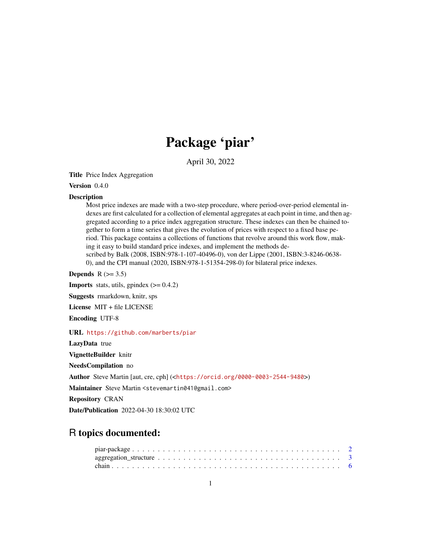# Package 'piar'

April 30, 2022

<span id="page-0-0"></span>Title Price Index Aggregation

Version 0.4.0

#### **Description**

Most price indexes are made with a two-step procedure, where period-over-period elemental indexes are first calculated for a collection of elemental aggregates at each point in time, and then aggregated according to a price index aggregation structure. These indexes can then be chained together to form a time series that gives the evolution of prices with respect to a fixed base period. This package contains a collections of functions that revolve around this work flow, making it easy to build standard price indexes, and implement the methods described by Balk (2008, ISBN:978-1-107-40496-0), von der Lippe (2001, ISBN:3-8246-0638- 0), and the CPI manual (2020, ISBN:978-1-51354-298-0) for bilateral price indexes.

Depends  $R$  ( $> = 3.5$ )

**Imports** stats, utils, gpindex  $(>= 0.4.2)$ 

Suggests rmarkdown, knitr, sps

License MIT + file LICENSE

Encoding UTF-8

URL <https://github.com/marberts/piar>

LazyData true

VignetteBuilder knitr

NeedsCompilation no

Author Steve Martin [aut, cre, cph] (<<https://orcid.org/0000-0003-2544-9480>>)

Maintainer Steve Martin <stevemartin041@gmail.com>

Repository CRAN

Date/Publication 2022-04-30 18:30:02 UTC

## R topics documented: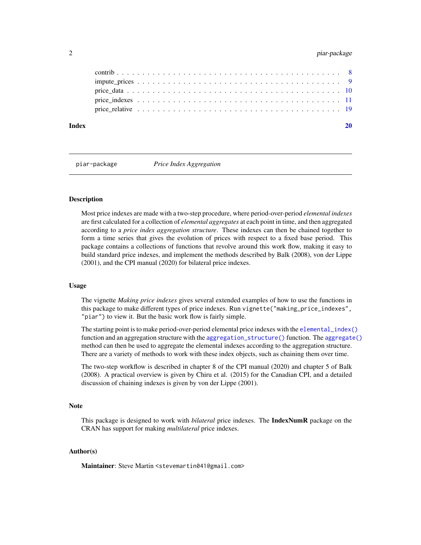#### <span id="page-1-0"></span>2 piar-package piar-package piar-package piar-package piar-package piar-package piar-package piar-package piar-package piar-package piar-package piar-package piar-package piar-package piar-package piar-package piar-package

| Index |  |  |  |  |  |  |  |  |  |  |  |  |  |  |  |  |  |  |  |  |  |
|-------|--|--|--|--|--|--|--|--|--|--|--|--|--|--|--|--|--|--|--|--|--|
|       |  |  |  |  |  |  |  |  |  |  |  |  |  |  |  |  |  |  |  |  |  |
|       |  |  |  |  |  |  |  |  |  |  |  |  |  |  |  |  |  |  |  |  |  |
|       |  |  |  |  |  |  |  |  |  |  |  |  |  |  |  |  |  |  |  |  |  |
|       |  |  |  |  |  |  |  |  |  |  |  |  |  |  |  |  |  |  |  |  |  |
|       |  |  |  |  |  |  |  |  |  |  |  |  |  |  |  |  |  |  |  |  |  |

piar-package *Price Index Aggregation*

#### Description

Most price indexes are made with a two-step procedure, where period-over-period *elemental indexes* are first calculated for a collection of *elemental aggregates* at each point in time, and then aggregated according to a *price index aggregation structure*. These indexes can then be chained together to form a time series that gives the evolution of prices with respect to a fixed base period. This package contains a collections of functions that revolve around this work flow, making it easy to build standard price indexes, and implement the methods described by Balk (2008), von der Lippe (2001), and the CPI manual (2020) for bilateral price indexes.

#### Usage

The vignette *Making price indexes* gives several extended examples of how to use the functions in this package to make different types of price indexes. Run vignette("making\_price\_indexes", "piar") to view it. But the basic work flow is fairly simple.

The starting point is to make period-over-period elemental price indexes with the [elemental\\_index\(\)](#page-10-1) function and an aggregation structure with the [aggregation\\_structure\(\)](#page-2-1) function. The [aggregate\(\)](#page-10-1) method can then be used to aggregate the elemental indexes according to the aggregation structure. There are a variety of methods to work with these index objects, such as chaining them over time.

The two-step workflow is described in chapter 8 of the CPI manual (2020) and chapter 5 of Balk (2008). A practical overview is given by Chiru et al. (2015) for the Canadian CPI, and a detailed discussion of chaining indexes is given by von der Lippe (2001).

#### Note

This package is designed to work with *bilateral* price indexes. The IndexNumR package on the CRAN has support for making *multilateral* price indexes.

#### Author(s)

Maintainer: Steve Martin <stevemartin041@gmail.com>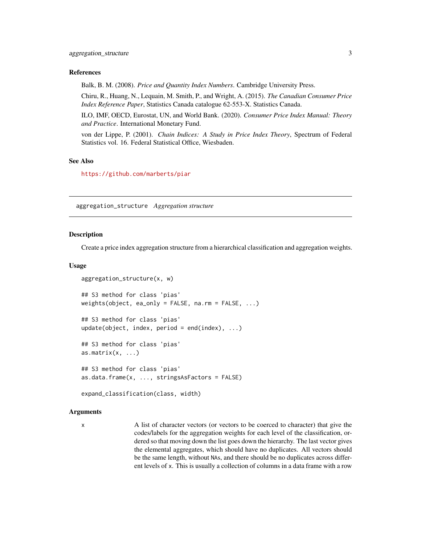#### <span id="page-2-0"></span>References

Balk, B. M. (2008). *Price and Quantity Index Numbers*. Cambridge University Press.

Chiru, R., Huang, N., Lequain, M. Smith, P., and Wright, A. (2015). *The Canadian Consumer Price Index Reference Paper*, Statistics Canada catalogue 62-553-X. Statistics Canada.

ILO, IMF, OECD, Eurostat, UN, and World Bank. (2020). *Consumer Price Index Manual: Theory and Practice*. International Monetary Fund.

von der Lippe, P. (2001). *Chain Indices: A Study in Price Index Theory*, Spectrum of Federal Statistics vol. 16. Federal Statistical Office, Wiesbaden.

#### See Also

<https://github.com/marberts/piar>

<span id="page-2-1"></span>aggregation\_structure *Aggregation structure*

#### Description

Create a price index aggregation structure from a hierarchical classification and aggregation weights.

#### Usage

```
aggregation_structure(x, w)
## S3 method for class 'pias'
weights(object, ea_only = FALSE, na.rm = FALSE, \ldots)
## S3 method for class 'pias'
update(object, index, period = end(index), ...)## S3 method for class 'pias'
as.matrix(x, \ldots)## S3 method for class 'pias'
as.data.frame(x, ..., stringsAsFactors = FALSE)
expand_classification(class, width)
```
#### Arguments

x A list of character vectors (or vectors to be coerced to character) that give the codes/labels for the aggregation weights for each level of the classification, ordered so that moving down the list goes down the hierarchy. The last vector gives the elemental aggregates, which should have no duplicates. All vectors should be the same length, without NAs, and there should be no duplicates across different levels of x. This is usually a collection of columns in a data frame with a row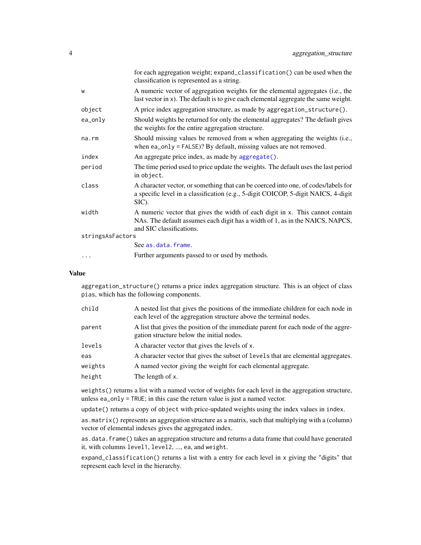<span id="page-3-0"></span>

|                  | for each aggregation weight; expand_classification() can be used when the<br>classification is represented as a string.                                                                    |
|------------------|--------------------------------------------------------------------------------------------------------------------------------------------------------------------------------------------|
| W                | A numeric vector of aggregation weights for the elemental aggregates (i.e., the<br>last vector in x). The default is to give each elemental aggregate the same weight.                     |
| object           | A price index aggregation structure, as made by aggregation_structure().                                                                                                                   |
| ea_only          | Should weights be returned for only the elemental aggregates? The default gives<br>the weights for the entire aggregation structure.                                                       |
| $na$ . $rm$      | Should missing values be removed from w when aggregating the weights (i.e.,<br>when $ea\_only = FALSE$ ? By default, missing values are not removed.                                       |
| index            | An aggregate price index, as made by aggregate().                                                                                                                                          |
| period           | The time period used to price update the weights. The default uses the last period<br>in object.                                                                                           |
| class            | A character vector, or something that can be coerced into one, of codes/labels for<br>a specific level in a classification (e.g., 5-digit COICOP, 5-digit NAICS, 4-digit<br>SIC).          |
| width            | A numeric vector that gives the width of each digit in x. This cannot contain<br>NAs. The default assumes each digit has a width of 1, as in the NAICS, NAPCS,<br>and SIC classifications. |
| stringsAsFactors |                                                                                                                                                                                            |
|                  | See as.data.frame.                                                                                                                                                                         |
| $\cdots$         | Further arguments passed to or used by methods.                                                                                                                                            |

#### Value

aggregation\_structure() returns a price index aggregation structure. This is an object of class pias, which has the following components.

| child   | A nested list that gives the positions of the immediate children for each node in<br>each level of the aggregation structure above the terminal nodes. |
|---------|--------------------------------------------------------------------------------------------------------------------------------------------------------|
| parent  | A list that gives the position of the immediate parent for each node of the aggre-<br>gation structure below the initial nodes.                        |
| levels  | A character vector that gives the levels of x.                                                                                                         |
| eas     | A character vector that gives the subset of levels that are elemental aggregates.                                                                      |
| weights | A named vector giving the weight for each elemental aggregate.                                                                                         |
| height  | The length of x.                                                                                                                                       |
|         |                                                                                                                                                        |

weights() returns a list with a named vector of weights for each level in the aggregation structure, unless ea\_only = TRUE; in this case the return value is just a named vector.

update() returns a copy of object with price-updated weights using the index values in index.

as.matrix() represents an aggregation structure as a matrix, such that multiplying with a (column) vector of elemental indexes gives the aggregated index.

as.data.frame() takes an aggregation structure and returns a data frame that could have generated it, with columns level1, level2, ..., ea, and weight.

expand\_classification() returns a list with a entry for each level in x giving the "digits" that represent each level in the hierarchy.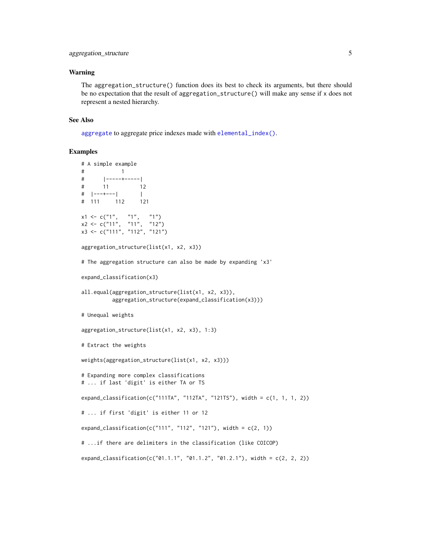#### <span id="page-4-0"></span>aggregation\_structure 5

#### Warning

The aggregation\_structure() function does its best to check its arguments, but there should be no expectation that the result of aggregation\_structure() will make any sense if x does not represent a nested hierarchy.

#### See Also

[aggregate](#page-10-1) to aggregate price indexes made with [elemental\\_index\(\)](#page-10-1).

#### Examples

```
# A simple example
# 1
# |-----+-----|
# 11 12
# |---+---| |
# 111 112 121
x1 \leq -c("1", "1", "1")x2 \leq -c("11", "11", "12")x3 \leq -c("111", "112", "121")aggregation_structure(list(x1, x2, x3))
# The aggregation structure can also be made by expanding 'x3'
expand_classification(x3)
all.equal(aggregation_structure(list(x1, x2, x3)),
         aggregation_structure(expand_classification(x3)))
# Unequal weights
aggregation_structure(list(x1, x2, x3), 1:3)
# Extract the weights
weights(aggregation_structure(list(x1, x2, x3)))
# Expanding more complex classifications
# ... if last 'digit' is either TA or TS
expand_classification(c("111TA", "112TA", "121TS"), width = c(1, 1, 1, 2))
# ... if first 'digit' is either 11 or 12
expand\_classification(c("111", "112", "121"), width = c(2, 1))# ...if there are delimiters in the classification (like COICOP)
expand_classification(c("01.1.1", "01.1.2", "01.2.1"), width = c(2, 2, 2))
```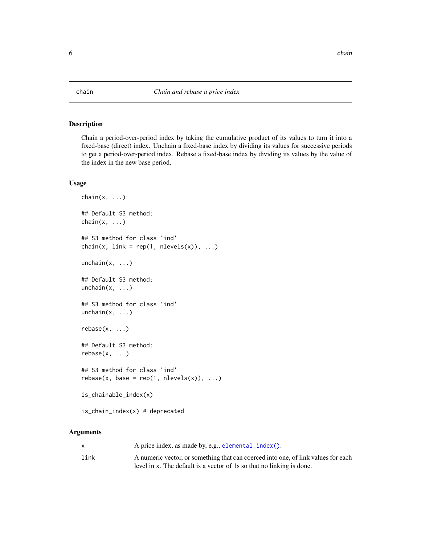<span id="page-5-1"></span><span id="page-5-0"></span>

#### <span id="page-5-2"></span>Description

Chain a period-over-period index by taking the cumulative product of its values to turn it into a fixed-base (direct) index. Unchain a fixed-base index by dividing its values for successive periods to get a period-over-period index. Rebase a fixed-base index by dividing its values by the value of the index in the new base period.

#### Usage

```
chain(x, \ldots)## Default S3 method:
chain(x, ...)## S3 method for class 'ind'
chain(x, link = rep(1, nlevels(x)), ...)
unchain(x, \ldots)## Default S3 method:
unchain(x, ...)## S3 method for class 'ind'
unchain(x, \ldots)rebase(x, ...)
## Default S3 method:
rebase(x, \ldots)## S3 method for class 'ind'
rebase(x, base = rep(1, nlevels(x)), ...)is_chainable_index(x)
```
is\_chain\_index(x) # deprecated

#### **Arguments**

|      | A price index, as made by, e.g., elemental_index().                               |
|------|-----------------------------------------------------------------------------------|
| link | A numeric vector, or something that can coerced into one, of link values for each |
|      | level in x. The default is a vector of 1s so that no linking is done.             |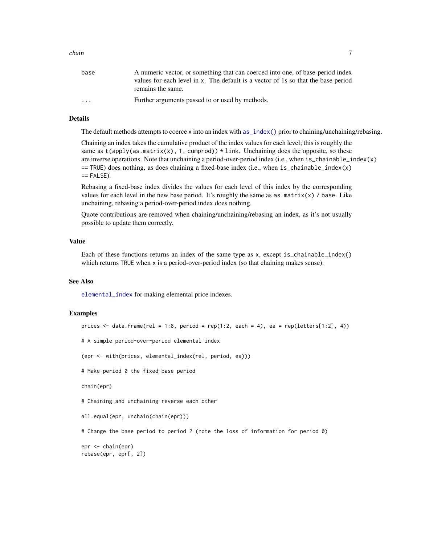#### <span id="page-6-0"></span>chain 7 and 2008, the chain 7 and 2008 and 2008 and 2008 and 2008 and 2008 and 2008 and 2008 and 2008 and 2008

| base     | A numeric vector, or something that can coerced into one, of base-period index    |
|----------|-----------------------------------------------------------------------------------|
|          | values for each level in x. The default is a vector of 1s so that the base period |
|          | remains the same.                                                                 |
| $\cdots$ | Further arguments passed to or used by methods.                                   |

#### Details

The default methods attempts to coerce x into an index with [as\\_index\(\)](#page-10-1) prior to chaining/unchaining/rebasing.

Chaining an index takes the cumulative product of the index values for each level; this is roughly the same as  $t$ (apply(as.matrix(x), 1, cumprod))  $*$  link. Unchaining does the opposite, so these are inverse operations. Note that unchaining a period-over-period index (i.e., when is\_chainable\_index(x)  $=$  TRUE) does nothing, as does chaining a fixed-base index (i.e., when is\_chainable\_index(x)  $==$  FALSE).

Rebasing a fixed-base index divides the values for each level of this index by the corresponding values for each level in the new base period. It's roughly the same as as  $\text{matrix}(x)$  / base. Like unchaining, rebasing a period-over-period index does nothing.

Quote contributions are removed when chaining/unchaining/rebasing an index, as it's not usually possible to update them correctly.

#### Value

Each of these functions returns an index of the same type as x, except is\_chainable\_index() which returns TRUE when x is a period-over-period index (so that chaining makes sense).

#### See Also

[elemental\\_index](#page-10-1) for making elemental price indexes.

#### Examples

prices  $\le$  data.frame(rel = 1:8, period = rep(1:2, each = 4), ea = rep(letters[1:2], 4))

```
# A simple period-over-period elemental index
```
(epr <- with(prices, elemental\_index(rel, period, ea)))

# Make period 0 the fixed base period

chain(epr)

# Chaining and unchaining reverse each other

```
all.equal(epr, unchain(chain(epr)))
```
# Change the base period to period 2 (note the loss of information for period 0)

epr <- chain(epr) rebase(epr, epr[, 2])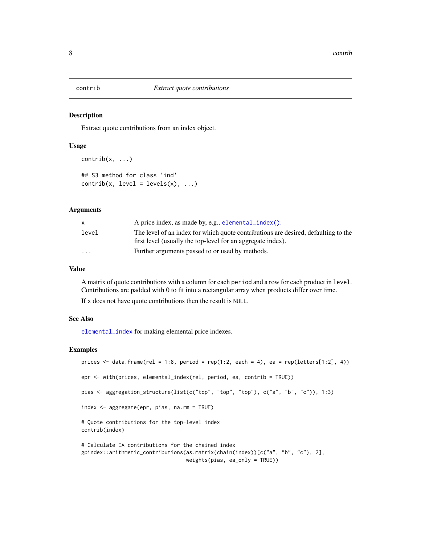<span id="page-7-1"></span><span id="page-7-0"></span>

#### Description

Extract quote contributions from an index object.

#### Usage

```
contrib(x, \ldots)## S3 method for class 'ind'
control(x, level = levels(x), ...)
```
#### Arguments

| X        | A price index, as made by, e.g., elemental_index().                                                                                               |
|----------|---------------------------------------------------------------------------------------------------------------------------------------------------|
| level    | The level of an index for which quote contributions are desired, defaulting to the<br>first level (usually the top-level for an aggregate index). |
| $\cdots$ | Further arguments passed to or used by methods.                                                                                                   |

#### Value

A matrix of quote contributions with a column for each period and a row for each product in level. Contributions are padded with 0 to fit into a rectangular array when products differ over time.

If x does not have quote contributions then the result is NULL.

#### See Also

[elemental\\_index](#page-10-1) for making elemental price indexes.

#### Examples

```
prices \le data.frame(rel = 1:8, period = rep(1:2, each = 4), ea = rep(letters[1:2], 4))
epr <- with(prices, elemental_index(rel, period, ea, contrib = TRUE))
pias <- aggregation_structure(list(c("top", "top", "top"), c("a", "b", "c")), 1:3)
index <- aggregate(epr, pias, na.rm = TRUE)
# Quote contributions for the top-level index
contrib(index)
# Calculate EA contributions for the chained index
gpindex::arithmetic_contributions(as.matrix(chain(index))[c("a", "b", "c"), 2],
```
weights(pias, ea\_only = TRUE))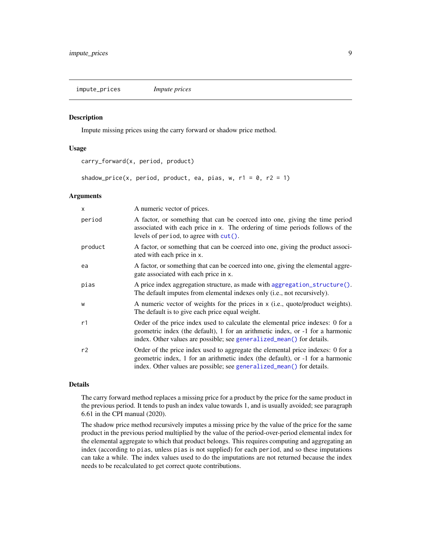<span id="page-8-0"></span>impute\_prices *Impute prices*

#### <span id="page-8-1"></span>Description

Impute missing prices using the carry forward or shadow price method.

#### Usage

carry\_forward(x, period, product)

shadow\_price(x, period, product, ea, pias, w, r1 = 0, r2 = 1)

#### Arguments

| X       | A numeric vector of prices.                                                                                                                                                                                                                |
|---------|--------------------------------------------------------------------------------------------------------------------------------------------------------------------------------------------------------------------------------------------|
| period  | A factor, or something that can be coerced into one, giving the time period<br>associated with each price in x. The ordering of time periods follows of the<br>levels of period, to agree with $cut()$ .                                   |
| product | A factor, or something that can be coerced into one, giving the product associ-<br>ated with each price in x.                                                                                                                              |
| ea      | A factor, or something that can be coerced into one, giving the elemental aggre-<br>gate associated with each price in x.                                                                                                                  |
| pias    | A price index aggregation structure, as made with aggregation_structure().<br>The default imputes from elemental indexes only (i.e., not recursively).                                                                                     |
| W       | A numeric vector of weights for the prices in $x$ (i.e., quote/product weights).<br>The default is to give each price equal weight.                                                                                                        |
| r1      | Order of the price index used to calculate the elemental price indexes: 0 for a<br>geometric index (the default), 1 for an arithmetic index, or -1 for a harmonic<br>index. Other values are possible; see generalized_mean() for details. |
| r2      | Order of the price index used to aggregate the elemental price indexes: 0 for a<br>geometric index, 1 for an arithmetic index (the default), or -1 for a harmonic<br>index. Other values are possible; see generalized_mean() for details. |

#### Details

The carry forward method replaces a missing price for a product by the price for the same product in the previous period. It tends to push an index value towards 1, and is usually avoided; see paragraph 6.61 in the CPI manual (2020).

The shadow price method recursively imputes a missing price by the value of the price for the same product in the previous period multiplied by the value of the period-over-period elemental index for the elemental aggregate to which that product belongs. This requires computing and aggregating an index (according to pias, unless pias is not supplied) for each period, and so these imputations can take a while. The index values used to do the imputations are not returned because the index needs to be recalculated to get correct quote contributions.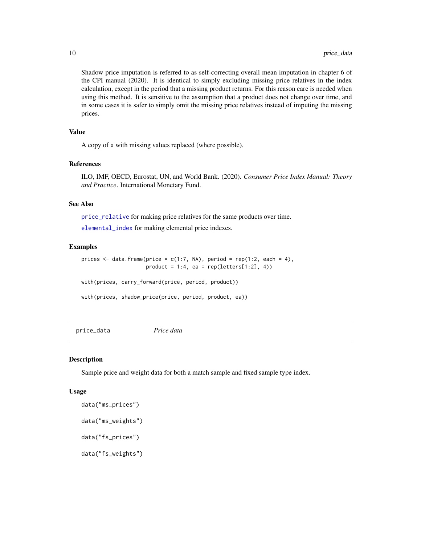Shadow price imputation is referred to as self-correcting overall mean imputation in chapter 6 of the CPI manual (2020). It is identical to simply excluding missing price relatives in the index calculation, except in the period that a missing product returns. For this reason care is needed when using this method. It is sensitive to the assumption that a product does not change over time, and in some cases it is safer to simply omit the missing price relatives instead of imputing the missing prices.

#### Value

A copy of x with missing values replaced (where possible).

#### References

ILO, IMF, OECD, Eurostat, UN, and World Bank. (2020). *Consumer Price Index Manual: Theory and Practice*. International Monetary Fund.

#### See Also

[price\\_relative](#page-18-1) for making price relatives for the same products over time.

[elemental\\_index](#page-10-1) for making elemental price indexes.

#### Examples

```
prices \leq data.frame(price = c(1:7, NA), period = rep(1:2, each = 4),
                     product = 1:4, ea = rep(leftters[1:2], 4))
```
with(prices, carry\_forward(price, period, product))

```
with(prices, shadow_price(price, period, product, ea))
```
price\_data *Price data*

Sample price and weight data for both a match sample and fixed sample type index.

#### Usage

Description

```
data("ms_prices")
data("ms_weights")
data("fs_prices")
data("fs_weights")
```
<span id="page-9-0"></span>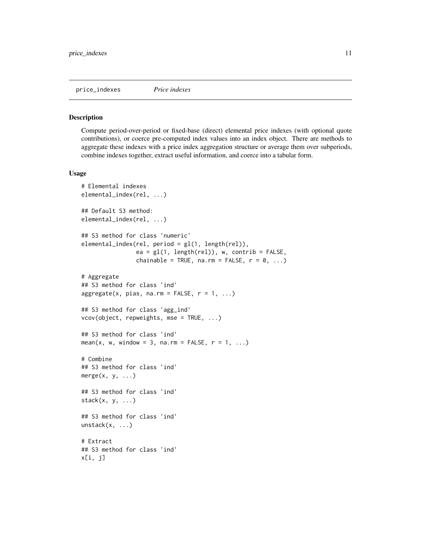<span id="page-10-0"></span>price\_indexes *Price indexes*

#### <span id="page-10-1"></span>Description

Compute period-over-period or fixed-base (direct) elemental price indexes (with optional quote contributions), or coerce pre-computed index values into an index object. There are methods to aggregate these indexes with a price index aggregation structure or average them over subperiods, combine indexes together, extract useful information, and coerce into a tabular form.

#### Usage

```
# Elemental indexes
elemental_index(rel, ...)
## Default S3 method:
elemental_index(rel, ...)
## S3 method for class 'numeric'
elemental_index(rel, period = gl(1, length(rel)),
                ea = gl(1, length (rel)), w, contrib = FALSE,chainable = TRUE, na.rm = FALSE, r = 0, ...)
# Aggregate
## S3 method for class 'ind'
aggregate(x, pias, na.rm = FALSE, r = 1, ...)## S3 method for class 'agg_ind'
vcov(object, repweights, mse = TRUE, ...)
## S3 method for class 'ind'
mean(x, w, window = 3, na.rm = FALSE, r = 1, ...)
# Combine
## S3 method for class 'ind'
merge(x, y, \ldots)## S3 method for class 'ind'
stack(x, y, ...)## S3 method for class 'ind'
unstack(x, ...)
# Extract
## S3 method for class 'ind'
x[i, j]
```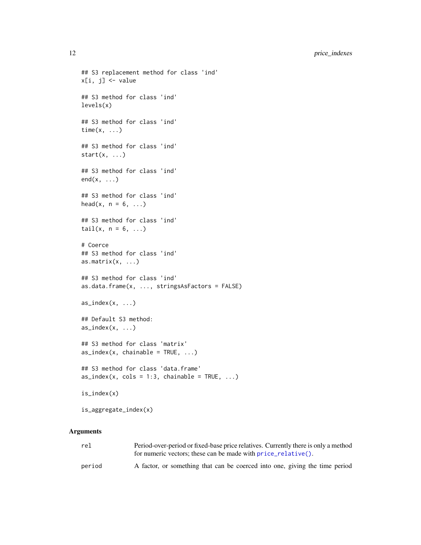```
## S3 replacement method for class 'ind'
x[i, j] <- value
## S3 method for class 'ind'
levels(x)
## S3 method for class 'ind'
time(x, \ldots)## S3 method for class 'ind'
start(x, \ldots)## S3 method for class 'ind'
end(x, \ldots)## S3 method for class 'ind'
head(x, n = 6, ...)
## S3 method for class 'ind'
tail(x, n = 6, ...)# Coerce
## S3 method for class 'ind'
as.matrix(x, \ldots)## S3 method for class 'ind'
as.data.frame(x, ..., stringsAsFactors = FALSE)
as\_index(x, ...)## Default S3 method:
as\_index(x, ...)## S3 method for class 'matrix'
as\_index(x, chainable = TRUE, ...)## S3 method for class 'data.frame'
as\_index(x, \text{cols} = 1:3, \text{ chainable} = TRUE, ...)is_index(x)
```
## is\_aggregate\_index(x)

### Arguments

| rel    | Period-over-period or fixed-base price relatives. Currently there is only a method |
|--------|------------------------------------------------------------------------------------|
|        | for numeric vectors; these can be made with $price$ relative().                    |
| period | A factor, or something that can be coerced into one, giving the time period        |

<span id="page-11-0"></span>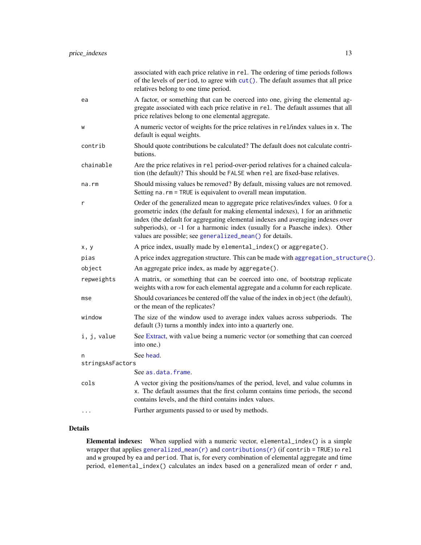<span id="page-12-0"></span>

|                  | associated with each price relative in rel. The ordering of time periods follows<br>of the levels of period, to agree with cut(). The default assumes that all price<br>relatives belong to one time period.                                                                                                                                                                                       |
|------------------|----------------------------------------------------------------------------------------------------------------------------------------------------------------------------------------------------------------------------------------------------------------------------------------------------------------------------------------------------------------------------------------------------|
| ea               | A factor, or something that can be coerced into one, giving the elemental ag-<br>gregate associated with each price relative in rel. The default assumes that all<br>price relatives belong to one elemental aggregate.                                                                                                                                                                            |
| W                | A numeric vector of weights for the price relatives in rel/index values in x. The<br>default is equal weights.                                                                                                                                                                                                                                                                                     |
| contrib          | Should quote contributions be calculated? The default does not calculate contri-<br>butions.                                                                                                                                                                                                                                                                                                       |
| chainable        | Are the price relatives in rel period-over-period relatives for a chained calcula-<br>tion (the default)? This should be FALSE when rel are fixed-base relatives.                                                                                                                                                                                                                                  |
| na.rm            | Should missing values be removed? By default, missing values are not removed.<br>Setting na.rm = TRUE is equivalent to overall mean imputation.                                                                                                                                                                                                                                                    |
| r                | Order of the generalized mean to aggregate price relatives/index values. 0 for a<br>geometric index (the default for making elemental indexes), 1 for an arithmetic<br>index (the default for aggregating elemental indexes and averaging indexes over<br>subperiods), or -1 for a harmonic index (usually for a Paasche index). Other<br>values are possible; see generalized_mean() for details. |
| x, y             | A price index, usually made by elemental_index() or aggregate().                                                                                                                                                                                                                                                                                                                                   |
| pias             | A price index aggregation structure. This can be made with aggregation_structure().                                                                                                                                                                                                                                                                                                                |
| object           | An aggregate price index, as made by aggregate().                                                                                                                                                                                                                                                                                                                                                  |
| repweights       | A matrix, or something that can be coerced into one, of bootstrap replicate<br>weights with a row for each elemental aggregate and a column for each replicate.                                                                                                                                                                                                                                    |
| mse              | Should covariances be centered off the value of the index in object (the default),<br>or the mean of the replicates?                                                                                                                                                                                                                                                                               |
| window           | The size of the window used to average index values across subperiods. The<br>default (3) turns a monthly index into into a quarterly one.                                                                                                                                                                                                                                                         |
| i, j, value      | See Extract, with value being a numeric vector (or something that can coerced<br>into one.)                                                                                                                                                                                                                                                                                                        |
| n                | See head.                                                                                                                                                                                                                                                                                                                                                                                          |
| stringsAsFactors |                                                                                                                                                                                                                                                                                                                                                                                                    |
|                  | See as.data.frame.                                                                                                                                                                                                                                                                                                                                                                                 |
| cols             | A vector giving the positions/names of the period, level, and value columns in<br>x. The default assumes that the first column contains time periods, the second<br>contains levels, and the third contains index values.                                                                                                                                                                          |
| $\cdots$         | Further arguments passed to or used by methods.                                                                                                                                                                                                                                                                                                                                                    |

### Details

Elemental indexes: When supplied with a numeric vector, elemental\_index() is a simple wrapper that applies [generalized\\_mean\(r\)](#page-0-0) and [contributions\(r\)](#page-0-0) (if contrib = TRUE) to rel and w grouped by ea and period. That is, for every combination of elemental aggregate and time period, elemental\_index() calculates an index based on a generalized mean of order r and,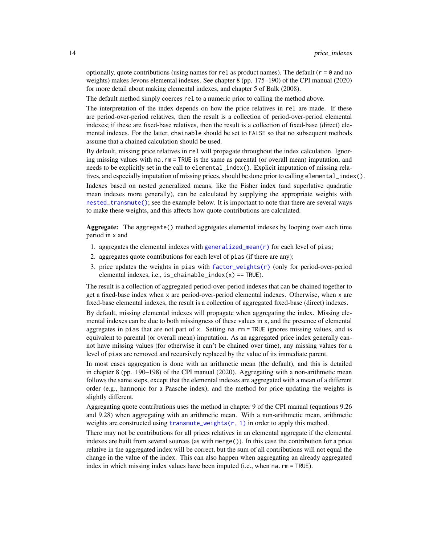<span id="page-13-0"></span>optionally, quote contributions (using names for rel as product names). The default ( $r = \emptyset$  and no weights) makes Jevons elemental indexes. See chapter 8 (pp. 175–190) of the CPI manual (2020) for more detail about making elemental indexes, and chapter 5 of Balk (2008).

The default method simply coerces rel to a numeric prior to calling the method above.

The interpretation of the index depends on how the price relatives in rel are made. If these are period-over-period relatives, then the result is a collection of period-over-period elemental indexes; if these are fixed-base relatives, then the result is a collection of fixed-base (direct) elemental indexes. For the latter, chainable should be set to FALSE so that no subsequent methods assume that a chained calculation should be used.

By default, missing price relatives in rel will propagate throughout the index calculation. Ignoring missing values with na.rm = TRUE is the same as parental (or overall mean) imputation, and needs to be explicitly set in the call to elemental\_index(). Explicit imputation of missing relatives, and especially imputation of missing prices, should be done prior to calling elemental\_index().

Indexes based on nested generalized means, like the Fisher index (and superlative quadratic mean indexes more generally), can be calculated by supplying the appropriate weights with [nested\\_transmute\(\)](#page-0-0); see the example below. It is important to note that there are several ways to make these weights, and this affects how quote contributions are calculated.

Aggregate: The aggregate() method aggregates elemental indexes by looping over each time period in x and

- 1. aggregates the elemental indexes with [generalized\\_mean\(r\)](#page-0-0) for each level of pias;
- 2. aggregates quote contributions for each level of pias (if there are any);
- 3. price updates the weights in pias with [factor\\_weights\(r\)](#page-0-0) (only for period-over-period elemental indexes, i.e., is\_chainable\_index $(x)$  == TRUE).

The result is a collection of aggregated period-over-period indexes that can be chained together to get a fixed-base index when x are period-over-period elemental indexes. Otherwise, when x are fixed-base elemental indexes, the result is a collection of aggregated fixed-base (direct) indexes.

By default, missing elemental indexes will propagate when aggregating the index. Missing elemental indexes can be due to both missingness of these values in x, and the presence of elemental aggregates in pias that are not part of x. Setting na.rm = TRUE ignores missing values, and is equivalent to parental (or overall mean) imputation. As an aggregated price index generally cannot have missing values (for otherwise it can't be chained over time), any missing values for a level of pias are removed and recursively replaced by the value of its immediate parent.

In most cases aggregation is done with an arithmetic mean (the default), and this is detailed in chapter 8 (pp. 190–198) of the CPI manual (2020). Aggregating with a non-arithmetic mean follows the same steps, except that the elemental indexes are aggregated with a mean of a different order (e.g., harmonic for a Paasche index), and the method for price updating the weights is slightly different.

Aggregating quote contributions uses the method in chapter 9 of the CPI manual (equations 9.26 and 9.28) when aggregating with an arithmetic mean. With a non-arithmetic mean, arithmetic weights are constructed using transmute\_weights $(r, 1)$  in order to apply this method.

There may not be contributions for all prices relatives in an elemental aggregate if the elemental indexes are built from several sources (as with merge()). In this case the contribution for a price relative in the aggregated index will be correct, but the sum of all contributions will not equal the change in the value of the index. This can also happen when aggregating an already aggregated index in which missing index values have been imputed (i.e., when na.rm = TRUE).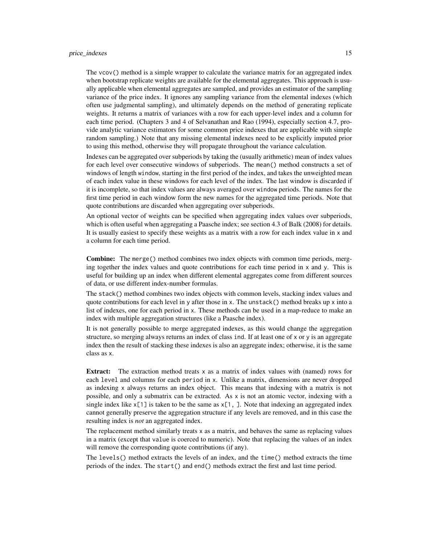The vcov() method is a simple wrapper to calculate the variance matrix for an aggregated index when bootstrap replicate weights are available for the elemental aggregates. This approach is usually applicable when elemental aggregates are sampled, and provides an estimator of the sampling variance of the price index. It ignores any sampling variance from the elemental indexes (which often use judgmental sampling), and ultimately depends on the method of generating replicate weights. It returns a matrix of variances with a row for each upper-level index and a column for each time period. (Chapters 3 and 4 of Selvanathan and Rao (1994), especially section 4.7, provide analytic variance estimators for some common price indexes that are applicable with simple random sampling.) Note that any missing elemental indexes need to be explicitly imputed prior to using this method, otherwise they will propagate throughout the variance calculation.

Indexes can be aggregated over subperiods by taking the (usually arithmetic) mean of index values for each level over consecutive windows of subperiods. The mean() method constructs a set of windows of length window, starting in the first period of the index, and takes the unweighted mean of each index value in these windows for each level of the index. The last window is discarded if it is incomplete, so that index values are always averaged over window periods. The names for the first time period in each window form the new names for the aggregated time periods. Note that quote contributions are discarded when aggregating over subperiods.

An optional vector of weights can be specified when aggregating index values over subperiods, which is often useful when aggregating a Paasche index; see section 4.3 of Balk (2008) for details. It is usually easiest to specify these weights as a matrix with a row for each index value in x and a column for each time period.

Combine: The merge() method combines two index objects with common time periods, merging together the index values and quote contributions for each time period in x and y. This is useful for building up an index when different elemental aggregates come from different sources of data, or use different index-number formulas.

The stack() method combines two index objects with common levels, stacking index values and quote contributions for each level in y after those in x. The unstack() method breaks up  $x$  into a list of indexes, one for each period in x. These methods can be used in a map-reduce to make an index with multiple aggregation structures (like a Paasche index).

It is not generally possible to merge aggregated indexes, as this would change the aggregation structure, so merging always returns an index of class ind. If at least one of x or y is an aggregate index then the result of stacking these indexes is also an aggregate index; otherwise, it is the same class as x.

Extract: The extraction method treats x as a matrix of index values with (named) rows for each level and columns for each period in x. Unlike a matrix, dimensions are never dropped as indexing x always returns an index object. This means that indexing with a matrix is not possible, and only a submatrix can be extracted. As x is not an atomic vector, indexing with a single index like  $x[1]$  is taken to be the same as  $x[1, 1]$ . Note that indexing an aggregated index cannot generally preserve the aggregation structure if any levels are removed, and in this case the resulting index is *not* an aggregated index.

The replacement method similarly treats x as a matrix, and behaves the same as replacing values in a matrix (except that value is coerced to numeric). Note that replacing the values of an index will remove the corresponding quote contributions (if any).

The levels() method extracts the levels of an index, and the time() method extracts the time periods of the index. The start() and end() methods extract the first and last time period.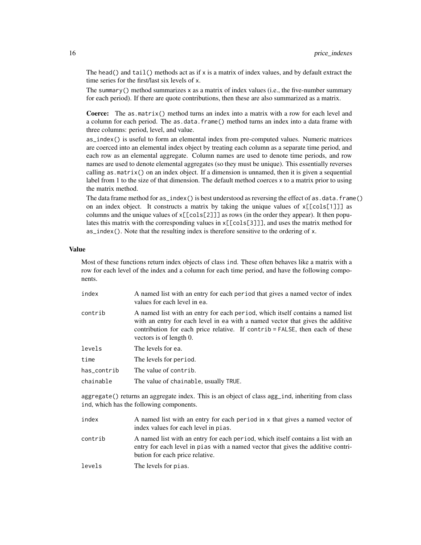The head() and  $tail$  methods act as if x is a matrix of index values, and by default extract the time series for the first/last six levels of x.

The summary() method summarizes x as a matrix of index values (i.e., the five-number summary for each period). If there are quote contributions, then these are also summarized as a matrix.

Coerce: The as.matrix() method turns an index into a matrix with a row for each level and a column for each period. The as.data.frame() method turns an index into a data frame with three columns: period, level, and value.

as\_index() is useful to form an elemental index from pre-computed values. Numeric matrices are coerced into an elemental index object by treating each column as a separate time period, and each row as an elemental aggregate. Column names are used to denote time periods, and row names are used to denote elemental aggregates (so they must be unique). This essentially reverses calling  $as.matrix()$  on an index object. If a dimension is unnamed, then it is given a sequential label from 1 to the size of that dimension. The default method coerces x to a matrix prior to using the matrix method.

The data frame method for  $as\_index()$  is best understood as reversing the effect of as.data.frame() on an index object. It constructs a matrix by taking the unique values of  $x[[\text{cols}[1]]]$  as columns and the unique values of  $x[[cols[2]]]$  as rows (in the order they appear). It then populates this matrix with the corresponding values in x[[cols[3]]], and uses the matrix method for as\_index(). Note that the resulting index is therefore sensitive to the ordering of x.

#### Value

Most of these functions return index objects of class ind. These often behaves like a matrix with a row for each level of the index and a column for each time period, and have the following components.

| index       | A named list with an entry for each period that gives a named vector of index<br>values for each level in ea.                                                                                                                                                               |
|-------------|-----------------------------------------------------------------------------------------------------------------------------------------------------------------------------------------------------------------------------------------------------------------------------|
| contrib     | A named list with an entry for each period, which itself contains a named list<br>with an entry for each level in ea with a named vector that gives the additive<br>contribution for each price relative. If contrib = FALSE, then each of these<br>vectors is of length 0. |
| levels      | The levels for ea.                                                                                                                                                                                                                                                          |
| time        | The levels for period.                                                                                                                                                                                                                                                      |
| has_contrib | The value of contrib.                                                                                                                                                                                                                                                       |
| chainable   | The value of chainable, usually TRUE.                                                                                                                                                                                                                                       |

aggregate() returns an aggregate index. This is an object of class agg\_ind, inheriting from class ind, which has the following components.

- index A named list with an entry for each period in x that gives a named vector of index values for each level in pias.
- contrib A named list with an entry for each period, which itself contains a list with an entry for each level in pias with a named vector that gives the additive contribution for each price relative.
- levels The levels for pias.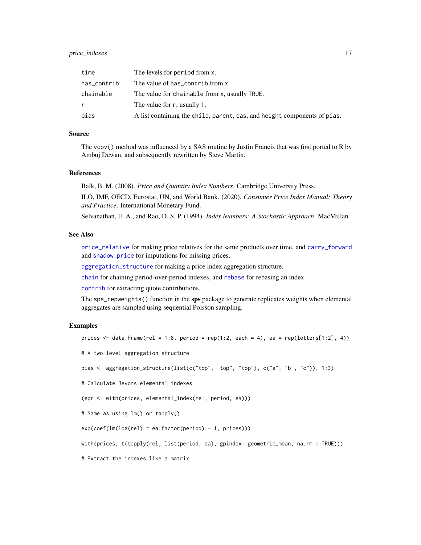#### <span id="page-16-0"></span>price\_indexes 17

| time        | The levels for period from x.                                            |
|-------------|--------------------------------------------------------------------------|
| has_contrib | The value of has_contrib from x.                                         |
| chainable   | The value for chainable from x, usually TRUE.                            |
|             | The value for r, usually 1.                                              |
| pias        | A list containing the child, parent, eas, and height components of pias. |

#### Source

The vcov() method was influenced by a SAS routine by Justin Francis that was first ported to R by Ambuj Dewan, and subsequently rewritten by Steve Martin.

#### References

Balk, B. M. (2008). *Price and Quantity Index Numbers*. Cambridge University Press.

ILO, IMF, OECD, Eurostat, UN, and World Bank. (2020). *Consumer Price Index Manual: Theory and Practice*. International Monetary Fund.

Selvanathan, E. A., and Rao, D. S. P. (1994). *Index Numbers: A Stochastic Approach*. MacMillan.

#### See Also

[price\\_relative](#page-18-1) for making price relatives for the same products over time, and [carry\\_forward](#page-8-1) and [shadow\\_price](#page-8-1) for imputations for missing prices.

[aggregation\\_structure](#page-2-1) for making a price index aggregation structure.

[chain](#page-5-1) for chaining period-over-period indexes, and [rebase](#page-5-2) for rebasing an index.

[contrib](#page-7-1) for extracting quote contributions.

The sps\_repweights() function in the sps package to generate replicates weights when elemental aggregates are sampled using sequential Poisson sampling.

#### **Examples**

prices  $\le$  - data.frame(rel = 1:8, period = rep(1:2, each = 4), ea = rep(letters[1:2], 4))

# A two-level aggregation structure

```
pias <- aggregation_structure(list(c("top", "top", "top"), c("a", "b", "c")), 1:3)
```
# Calculate Jevons elemental indexes

(epr <- with(prices, elemental\_index(rel, period, ea)))

# Same as using lm() or tapply()

exp(coef(lm(log(rel) ~ ea:factor(period) - 1, prices)))

with(prices, t(tapply(rel, list(period, ea), gpindex::geometric\_mean, na.rm = TRUE)))

# Extract the indexes like a matrix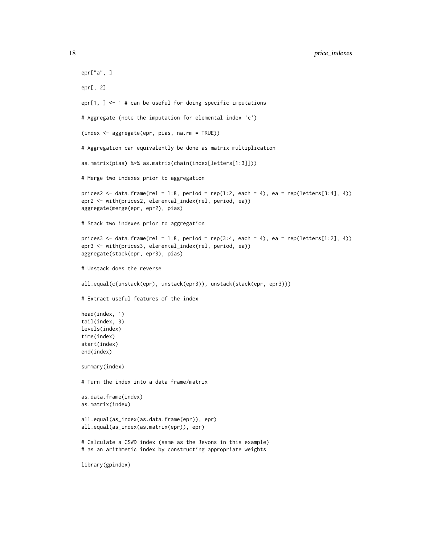```
epr["a", ]
epr[, 2]
epr[1, ] <- 1 # can be useful for doing specific imputations
# Aggregate (note the imputation for elemental index 'c')
(index <- aggregate(epr, pias, na.rm = TRUE))
# Aggregation can equivalently be done as matrix multiplication
as.matrix(pias) %*% as.matrix(chain(index[letters[1:3]]))
# Merge two indexes prior to aggregation
prices2 <- data.frame(rel = 1:8, period = rep(1:2, each = 4), ea = rep(letters[3:4], 4))
epr2 <- with(prices2, elemental_index(rel, period, ea))
aggregate(merge(epr, epr2), pias)
# Stack two indexes prior to aggregation
prices3 <- data.frame(rel = 1:8, period = rep(3:4, each = 4), ea = rep(letters[1:2], 4))
epr3 <- with(prices3, elemental_index(rel, period, ea))
aggregate(stack(epr, epr3), pias)
# Unstack does the reverse
all.equal(c(unstack(epr), unstack(epr3)), unstack(stack(epr, epr3)))
# Extract useful features of the index
head(index, 1)
tail(index, 3)
levels(index)
time(index)
start(index)
end(index)
summary(index)
# Turn the index into a data frame/matrix
as.data.frame(index)
as.matrix(index)
all.equal(as_index(as.data.frame(epr)), epr)
all.equal(as_index(as.matrix(epr)), epr)
# Calculate a CSWD index (same as the Jevons in this example)
# as an arithmetic index by constructing appropriate weights
library(gpindex)
```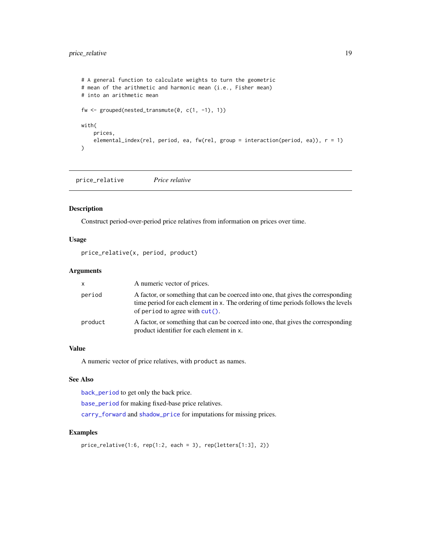```
# A general function to calculate weights to turn the geometric
# mean of the arithmetic and harmonic mean (i.e., Fisher mean)
# into an arithmetic mean
fw <- grouped(nested_transmute(0, c(1, -1), 1))
with(
   prices,
    elemental_index(rel, period, ea, fw(rel, group = interaction(period, ea)), r = 1)
)
```
<span id="page-18-1"></span>price\_relative *Price relative*

#### Description

Construct period-over-period price relatives from information on prices over time.

#### Usage

price\_relative(x, period, product)

#### Arguments

| X       | A numeric vector of prices.                                                                                                                                                                                  |
|---------|--------------------------------------------------------------------------------------------------------------------------------------------------------------------------------------------------------------|
| period  | A factor, or something that can be coerced into one, that gives the corresponding<br>time period for each element in x. The ordering of time periods follows the levels<br>of period to agree with $cut()$ . |
| product | A factor, or something that can be coerced into one, that gives the corresponding<br>product identifier for each element in x.                                                                               |

#### Value

A numeric vector of price relatives, with product as names.

#### See Also

[back\\_period](#page-0-0) to get only the back price. [base\\_period](#page-0-0) for making fixed-base price relatives.

[carry\\_forward](#page-8-1) and [shadow\\_price](#page-8-1) for imputations for missing prices.

#### Examples

```
price_relative(1:6, rep(1:2, each = 3), rep(letters[1:3], 2))
```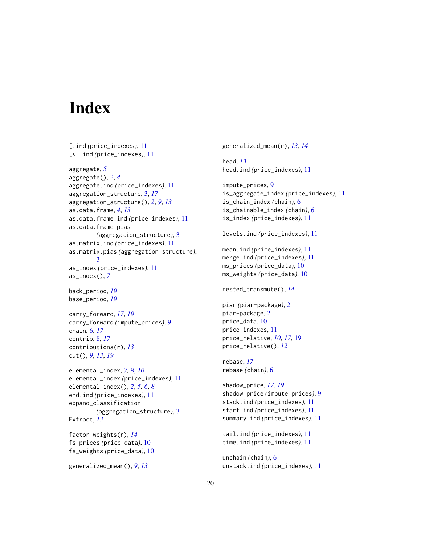# <span id="page-19-0"></span>**Index**

```
[.ind (price_indexes), 11
[<-.ind (price_indexes), 11
aggregate, 5
aggregate(), 2, 4
aggregate.ind (price_indexes), 11
aggregation_structure, 3, 17
aggregation_structure(), 2, 9, 13
as.data.frame, 4, 13
as.data.frame.ind (price_indexes), 11
as.data.frame.pias
        (aggregation_structure), 3
as.matrix.ind (price_indexes), 11
as.matrix.pias (aggregation_structure),
        3
as_index (price_indexes), 11
as_index(), 7
back_period, 19
base_period, 19
```

```
carry_forward, 17, 19
carry_forward (impute_prices), 9
chain, 6, 17
contrib, 8, 17
contributions(r), 13
cut(), 9, 13, 19
```

```
elemental_index, 7, 8, 10
elemental_index (price_indexes), 11
elemental_index(), 2, 5, 6, 8
end.ind (price_indexes), 11
expand_classification
        (aggregation_structure), 3
Extract, 13
```

```
factor_weights(r), 14
fs_prices (price_data), 10
fs_weights (price_data), 10
```

```
generalized_mean(), 9, 13
```

```
generalized_mean(r), 13, 14
head, 13
head.ind (price_indexes), 11
impute_prices, 9
is_aggregate_index (price_indexes), 11
is_chain_index (chain), 6
is_chainable_index (chain), 6
is_index (price_indexes), 11
levels.ind (price_indexes), 11
mean.ind (price_indexes), 11
merge.ind (price_indexes), 11
ms_prices (price_data), 10
ms_weights (price_data), 10
nested_transmute(), 14
piar (piar-package), 2
piar-package, 2
price_data, 10
price_indexes, 11
price_relative, 10, 17, 19
price_relative(), 12
rebase, 17
rebase (chain), 6
shadow_price, 17, 19
shadow_price (impute_prices), 9
stack.ind (price_indexes), 11
start.ind (price_indexes), 11
summary.ind (price_indexes), 11
tail.ind (price_indexes), 11
time.ind (price_indexes), 11
unchain (chain), 6
unstack.ind (price_indexes), 11
```